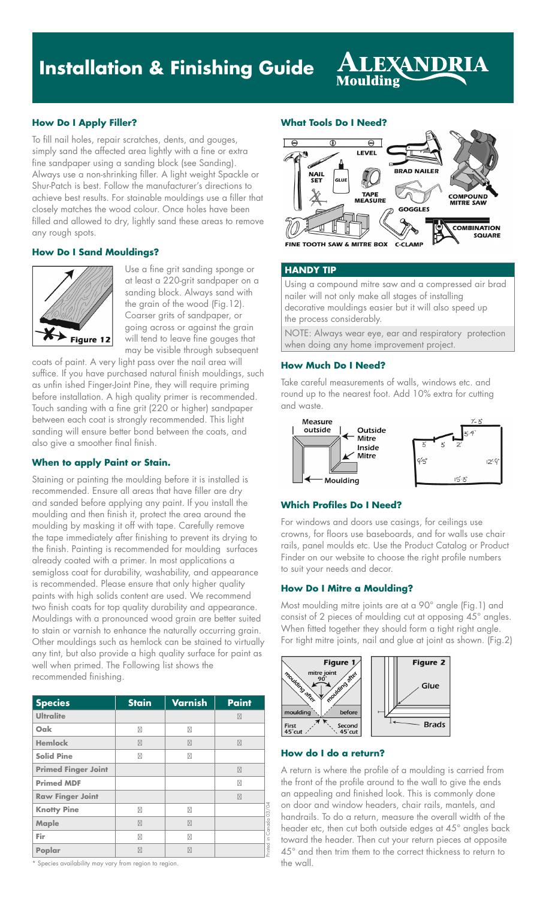# **Installation & Finishing Guide**

# **How Do I Apply Filler?**

To fill nail holes, repair scratches, dents, and gouges, simply sand the affected area lightly with a fine or extra fine sandpaper using a sanding block (see Sanding). Always use a non-shrinking filler. A light weight Spackle or Shur-Patch is best. Follow the manufacturer's directions to achieve best results. For stainable mouldings use a filler that closely matches the wood colour. Once holes have been filled and allowed to dry, lightly sand these areas to remove any rough spots.

### **How Do I Sand Mouldings?**



Use a fine grit sanding sponge or at least a 220-grit sandpaper on a sanding block. Always sand with the grain of the wood (Fig.12). Coarser grits of sandpaper, or going across or against the grain will tend to leave fine gouges that may be visible through subsequent

coats of paint. A very light pass over the nail area will suffice. If you have purchased natural finish mouldings, such as unfin ished Finger-Joint Pine, they will require priming before installation. A high quality primer is recommended. Touch sanding with a fine grit (220 or higher) sandpaper between each coat is strongly recommended. This light sanding will ensure better bond between the coats, and also give a smoother final finish.

# **When to apply Paint or Stain.**

Staining or painting the moulding before it is installed is recommended. Ensure all areas that have filler are dry and sanded before applying any paint. If you install the moulding and then finish it, protect the area around the moulding by masking it off with tape. Carefully remove the tape immediately after finishing to prevent its drying to the finish. Painting is recommended for moulding surfaces already coated with a primer. In most applications a semigloss coat for durability, washability, and appearance is recommended. Please ensure that only higher quality paints with high solids content are used. We recommend two finish coats for top quality durability and appearance. Mouldings with a pronounced wood grain are better suited to stain or varnish to enhance the naturally occurring grain. Other mouldings such as hemlock can be stained to virtually any tint, but also provide a high quality surface for paint as well when primed. The Following list shows the recommended finishing.

| <b>Species</b>             | <b>Stain</b> | <b>Varnish</b> | <b>Paint</b> |
|----------------------------|--------------|----------------|--------------|
| <b>Ultralite</b>           |              |                |              |
| Oak                        |              |                |              |
| <b>Hemlock</b>             |              |                |              |
| <b>Solid Pine</b>          |              |                |              |
| <b>Primed Finger Joint</b> |              |                |              |
| <b>Primed MDF</b>          |              |                |              |
| <b>Raw Finger Joint</b>    |              |                |              |
| <b>Knotty Pine</b>         |              |                | Canada 03/04 |
| <b>Maple</b>               |              |                |              |
| Fir                        |              |                |              |
| Poplar                     |              |                | rinted in    |

\* Species availability may vary from region to region.

#### **What Tools Do I Need?**

Moulding



LEXANDR

### **HANDY TIP**

Using a compound mitre saw and a compressed air brad nailer will not only make all stages of installing decorative mouldings easier but it will also speed up the process considerably.

NOTE: Always wear eye, ear and respiratory protection when doing any home improvement project.

### **How Much Do I Need?**

Take careful measurements of walls, windows etc. and round up to the nearest foot. Add 10% extra for cutting and waste.



### **Which Profiles Do I Need?**

For windows and doors use casings, for ceilings use crowns, for floors use baseboards, and for walls use chair rails, panel moulds etc. Use the Product Catalog or Product Finder on our website to choose the right profile numbers to suit your needs and decor.

### **How Do I Mitre a Moulding?**

Most moulding mitre joints are at a 90° angle (Fig.1) and consist of 2 pieces of moulding cut at opposing 45° angles. When fitted together they should form a tight right angle. For tight mitre joints, nail and glue at joint as shown. (Fig.2)



# **How do I do a return?**

A return is where the profile of a moulding is carried from the front of the profile around to the wall to give the ends an appealing and finished look. This is commonly done on door and window headers, chair rails, mantels, and handrails. To do a return, measure the overall width of the header etc, then cut both outside edges at 45° angles back toward the header. Then cut your return pieces at opposite 45° and then trim them to the correct thickness to return to the wall.